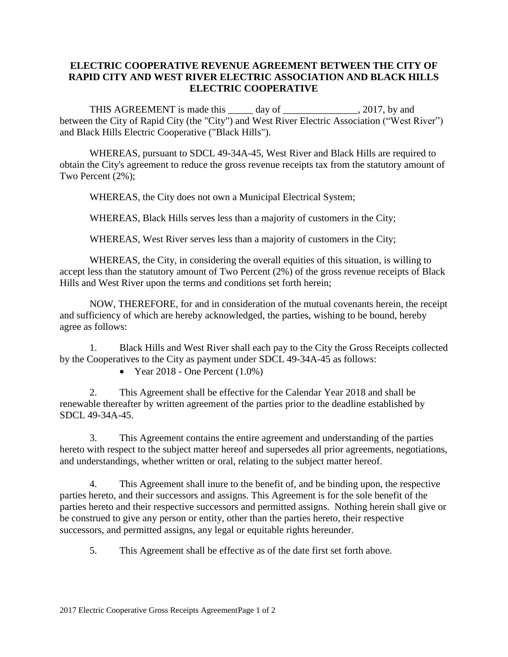## **ELECTRIC COOPERATIVE REVENUE AGREEMENT BETWEEN THE CITY OF RAPID CITY AND WEST RIVER ELECTRIC ASSOCIATION AND BLACK HILLS ELECTRIC COOPERATIVE**

THIS AGREEMENT is made this \_\_\_\_\_ day of \_\_\_\_\_\_\_\_\_\_\_\_\_, 2017, by and between the City of Rapid City (the "City") and West River Electric Association ("West River") and Black Hills Electric Cooperative ("Black Hills").

WHEREAS, pursuant to SDCL 49-34A-45, West River and Black Hills are required to obtain the City's agreement to reduce the gross revenue receipts tax from the statutory amount of Two Percent (2%);

WHEREAS, the City does not own a Municipal Electrical System;

WHEREAS, Black Hills serves less than a majority of customers in the City;

WHEREAS, West River serves less than a majority of customers in the City;

WHEREAS, the City, in considering the overall equities of this situation, is willing to accept less than the statutory amount of Two Percent (2%) of the gross revenue receipts of Black Hills and West River upon the terms and conditions set forth herein;

NOW, THEREFORE, for and in consideration of the mutual covenants herein, the receipt and sufficiency of which are hereby acknowledged, the parties, wishing to be bound, hereby agree as follows:

1. Black Hills and West River shall each pay to the City the Gross Receipts collected by the Cooperatives to the City as payment under SDCL 49-34A-45 as follows:

• Year 2018 - One Percent  $(1.0\%)$ 

2. This Agreement shall be effective for the Calendar Year 2018 and shall be renewable thereafter by written agreement of the parties prior to the deadline established by SDCL 49-34A-45.

3. This Agreement contains the entire agreement and understanding of the parties hereto with respect to the subject matter hereof and supersedes all prior agreements, negotiations, and understandings, whether written or oral, relating to the subject matter hereof.

4. This Agreement shall inure to the benefit of, and be binding upon, the respective parties hereto, and their successors and assigns. This Agreement is for the sole benefit of the parties hereto and their respective successors and permitted assigns. Nothing herein shall give or be construed to give any person or entity, other than the parties hereto, their respective successors, and permitted assigns, any legal or equitable rights hereunder.

5. This Agreement shall be effective as of the date first set forth above.